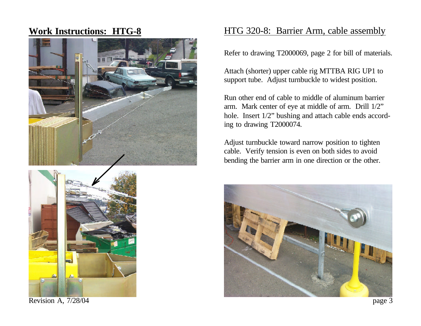## **Work Instructions: HTG-8**





Revision A,  $7/28/04$  page 3

## HTG 320-8: Barrier Arm, cable assembly

Refer to drawing T2000069, page 2 for bill of materials.

Attach (shorter) upper cable rig MTTBA RIG UP1 to support tube. Adjust turnbuckle to widest position.

Run other end of cable to middle of aluminum barrier arm. Mark center of eye at middle of arm. Drill 1/2" hole. Insert  $1/2$ " bushing and attach cable ends according to drawing T2000074.

Adjust turnbuckle toward narrow position to tighten cable. Verify tension is even on both sides to avoid bending the barrier arm in one direction or the other.

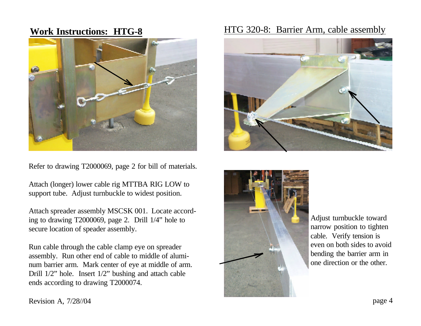

Refer to drawing T2000069, page 2 for bill of materials.

Attach (longer) lower cable rig MTTBA RIG LOW to support tube. Adjust turnbuckle to widest position.

Attach spreader assembly MSCSK 001. Locate according to drawing T2000069, page 2. Drill 1/4" hole to secure location of speader assembly.

Run cable through the cable clamp eye on spreader assembly. Run other end of cable to middle of aluminum barrier arm. Mark center of eye at middle of arm. Drill 1/2" hole. Insert 1/2" bushing and attach cable ends according to drawing T2000074.

## **Work Instructions: HTG-8** HTG 320-8: Barrier Arm, cable assembly





Adjust turnbuckle toward narrow position to tighten cable. Verify tension is even on both sides to avoid bending the barrier arm in one direction or the other.

Revision A,  $7/28/04$  page 4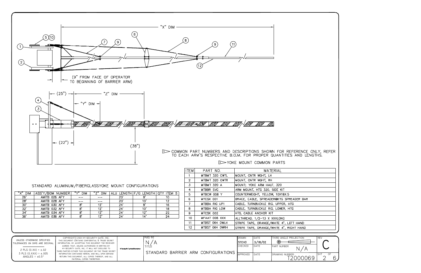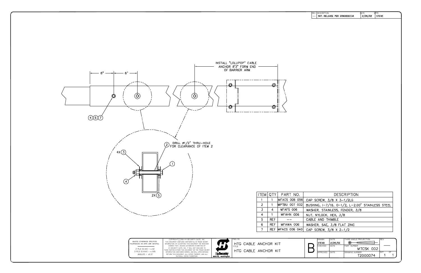

|  | <b>DRAWN</b> | DATE    | THIRD ANGLE PROJECTION      | <b>RFV</b> |    |
|--|--------------|---------|-----------------------------|------------|----|
|  | <b>STEVO</b> | 2/26/02 | க                           |            |    |
|  | CHECKED      | DATF    | PART NUMBER<br>MTCSK 002    |            |    |
|  | APPROVED     | DATE    | DRAWING NUMBER:<br>T2000074 | <b>SHT</b> | OF |

| REV<br>$-$ | <b>DESCRIPTION</b> | INIT. RELEASE PER ERN0000334 |                                                        | DATE<br>2/26/02 | <b>APPR</b><br><b>STEVO</b> |  |
|------------|--------------------|------------------------------|--------------------------------------------------------|-----------------|-----------------------------|--|
|            |                    |                              |                                                        |                 |                             |  |
|            |                    |                              |                                                        |                 |                             |  |
|            |                    |                              |                                                        |                 |                             |  |
|            |                    |                              |                                                        |                 |                             |  |
|            |                    |                              |                                                        |                 |                             |  |
|            |                    |                              |                                                        |                 |                             |  |
|            |                    |                              |                                                        |                 |                             |  |
|            |                    |                              |                                                        |                 |                             |  |
|            |                    |                              |                                                        |                 |                             |  |
|            |                    |                              |                                                        |                 |                             |  |
|            |                    |                              |                                                        |                 |                             |  |
|            |                    |                              |                                                        |                 |                             |  |
|            |                    |                              |                                                        |                 |                             |  |
|            |                    |                              |                                                        |                 |                             |  |
|            |                    |                              |                                                        |                 |                             |  |
|            |                    |                              |                                                        |                 |                             |  |
|            |                    |                              |                                                        |                 |                             |  |
|            |                    |                              |                                                        |                 |                             |  |
|            |                    |                              |                                                        |                 |                             |  |
|            |                    |                              |                                                        |                 |                             |  |
|            |                    |                              |                                                        |                 |                             |  |
|            |                    |                              |                                                        |                 |                             |  |
|            |                    |                              |                                                        |                 |                             |  |
|            |                    |                              |                                                        |                 |                             |  |
|            |                    |                              |                                                        |                 |                             |  |
|            |                    |                              |                                                        |                 |                             |  |
|            |                    |                              |                                                        |                 |                             |  |
|            |                    |                              |                                                        |                 |                             |  |
|            |                    |                              |                                                        |                 |                             |  |
|            |                    |                              |                                                        |                 |                             |  |
|            |                    |                              | DESCRIPTION                                            |                 |                             |  |
|            |                    | AP SCREW, 3/8 X 3-1/2LG      |                                                        |                 |                             |  |
|            |                    |                              | <u>JSHING, I-7/16, 0-1/2, L-2.</u> 00" STAINLESS STEEL |                 |                             |  |
|            |                    |                              | ASHER, STAINLESS, FENDER, 3/8                          |                 |                             |  |
|            | ABLE AND THIMBLE   | JT, NYLOCK, HEX, 3/8         |                                                        |                 |                             |  |
|            |                    | ASHER, SAE, 3/8 FLAT ZINC    |                                                        |                 |                             |  |
|            |                    | AP SCREW 3/8 X 2-1/2         |                                                        |                 |                             |  |
|            |                    |                              |                                                        |                 |                             |  |
|            | DRAWN<br>STEVO     | <b>DATE</b><br>2/26/02       | THIRD ANGLE PROJECTION<br>$\circledcirc$               |                 | REV                         |  |
|            | CHECKED            | DATE                         | PART NUMBER                                            |                 |                             |  |